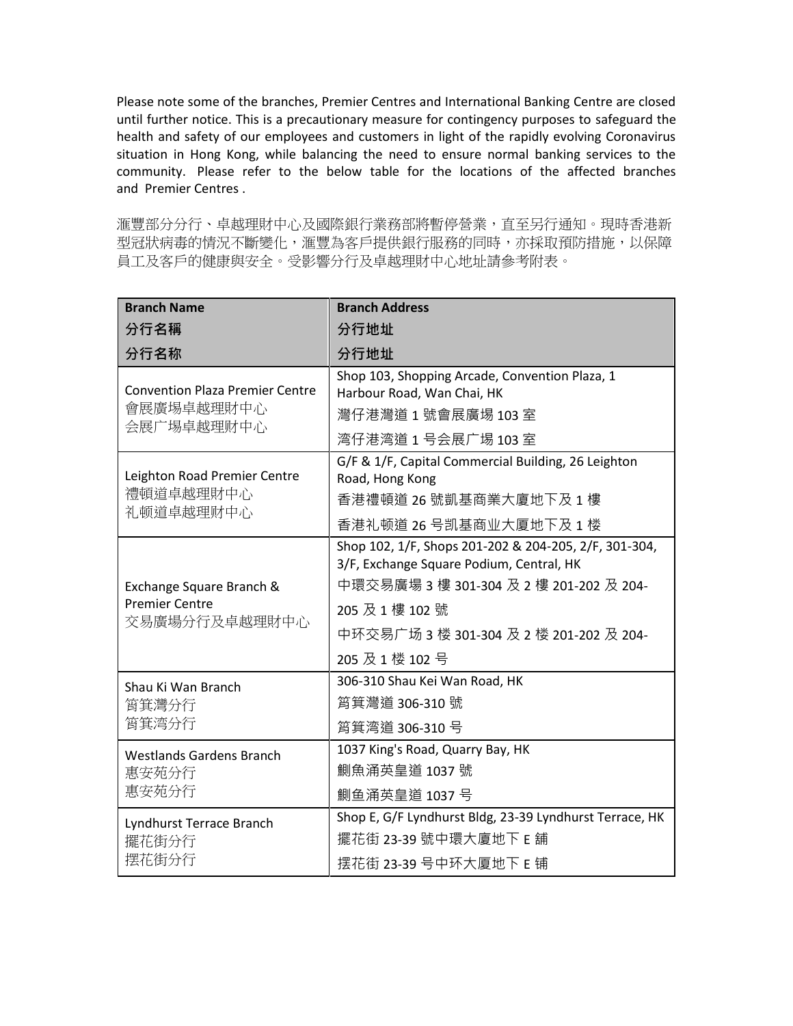Please note some of the branches, Premier Centres and International Banking Centre are closed until further notice. This is a precautionary measure for contingency purposes to safeguard the health and safety of our employees and customers in light of the rapidly evolving Coronavirus situation in Hong Kong, while balancing the need to ensure normal banking services to the community. Please refer to the below table for the locations of the affected branches and Premier Centres .

滙豐部分分行、卓越理財中心及國際銀行業務部將暫停營業,直至另行通知。現時香港新 型冠狀病毒的情況不斷變化,滙豐為客戶提供銀行服務的同時,亦採取預防措施,以保障 員工及客戶的健康與安全。受影響分行及卓越理財中心地址請參考附表。

| <b>Branch Name</b>                                                 | <b>Branch Address</b>                                                                                                                                                                                                         |
|--------------------------------------------------------------------|-------------------------------------------------------------------------------------------------------------------------------------------------------------------------------------------------------------------------------|
| 分行名稱                                                               | 分行地址                                                                                                                                                                                                                          |
| 分行名称                                                               | 分行地址                                                                                                                                                                                                                          |
| <b>Convention Plaza Premier Centre</b><br>會展廣場卓越理財中心<br>会展广埸卓越理财中心 | Shop 103, Shopping Arcade, Convention Plaza, 1<br>Harbour Road, Wan Chai, HK<br>灣仔港灣道 1 號會展廣埸 103 室<br>湾仔港湾道1号会展广埸103室                                                                                                        |
| Leighton Road Premier Centre<br>禮頓道卓越理財中心<br>礼顿道卓越理财中心             | G/F & 1/F, Capital Commercial Building, 26 Leighton<br>Road, Hong Kong<br>香港禮頓道 26 號凱基商業大廈地下及 1 樓<br>香港礼顿道 26 号凯基商业大厦地下及 1 楼                                                                                                  |
| Exchange Square Branch &<br><b>Premier Centre</b><br>交易廣場分行及卓越理財中心 | Shop 102, 1/F, Shops 201-202 & 204-205, 2/F, 301-304,<br>3/F, Exchange Square Podium, Central, HK<br>中環交易廣場 3 樓 301-304 及 2 樓 201-202 及 204-<br>205 及 1 樓 102 號<br>中环交易广场 3 楼 301-304 及 2 楼 201-202 及 204-<br>205 及 1 楼 102 号 |
| Shau Ki Wan Branch<br>筲箕灣分行<br>筲箕湾分行                               | 306-310 Shau Kei Wan Road, HK<br>筲箕灣道 306-310 號<br>筲箕湾道 306-310号                                                                                                                                                              |
| <b>Westlands Gardens Branch</b><br>惠安苑分行<br>惠安苑分行                  | 1037 King's Road, Quarry Bay, HK<br>鰂魚涌英皇道 1037號<br>鰂鱼涌英皇道 1037号                                                                                                                                                              |
| Lyndhurst Terrace Branch<br>擺花街分行<br>摆花街分行                         | Shop E, G/F Lyndhurst Bldg, 23-39 Lyndhurst Terrace, HK<br>擺花街 23-39 號中環大廈地下 E 舖<br>摆花街 23-39 号中环大厦地下 E 铺                                                                                                                     |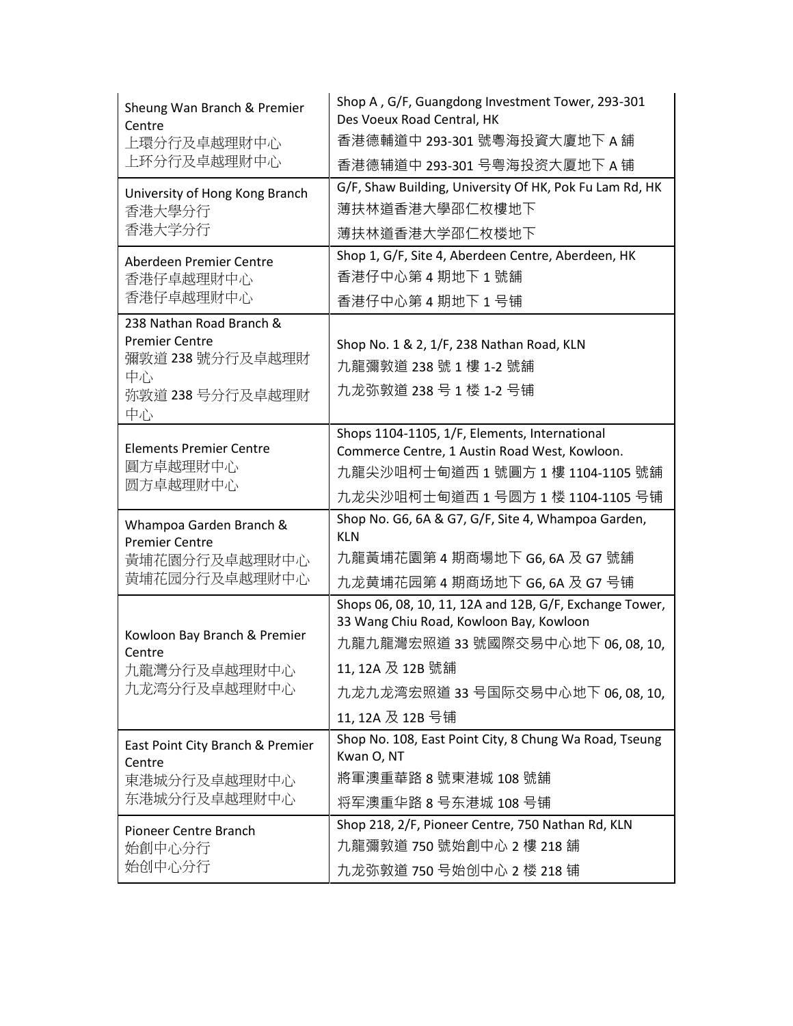| Sheung Wan Branch & Premier<br>Centre              | Shop A, G/F, Guangdong Investment Tower, 293-301<br>Des Voeux Road Central, HK                 |
|----------------------------------------------------|------------------------------------------------------------------------------------------------|
| 上環分行及卓越理財中心<br>上环分行及卓越理财中心                         | 香港德輔道中 293-301 號粵海投資大廈地下 A 舖                                                                   |
|                                                    | 香港德辅道中 293-301 号粤海投资大厦地下 A 铺                                                                   |
| University of Hong Kong Branch<br>香港大學分行<br>香港大学分行 | G/F, Shaw Building, University Of HK, Pok Fu Lam Rd, HK                                        |
|                                                    | 薄扶林道香港大學邵仁枚樓地下                                                                                 |
|                                                    | 薄扶林道香港大学邵仁枚楼地下                                                                                 |
| Aberdeen Premier Centre<br>香港仔卓越理財中心<br>香港仔卓越理财中心  | Shop 1, G/F, Site 4, Aberdeen Centre, Aberdeen, HK                                             |
|                                                    | 香港仔中心第4期地下1號舖                                                                                  |
|                                                    | 香港仔中心第4期地下1号铺                                                                                  |
| 238 Nathan Road Branch &                           |                                                                                                |
| <b>Premier Centre</b><br>彌敦道 238 號分行及卓越理財          | Shop No. 1 & 2, 1/F, 238 Nathan Road, KLN                                                      |
| 中心                                                 | 九龍彌敦道 238 號 1 樓 1-2 號舖                                                                         |
| 弥敦道 238 号分行及卓越理财                                   | 九龙弥敦道 238号1楼 1-2号铺                                                                             |
| 中心                                                 |                                                                                                |
| <b>Elements Premier Centre</b>                     | Shops 1104-1105, 1/F, Elements, International<br>Commerce Centre, 1 Austin Road West, Kowloon. |
| 圓方卓越理財中心<br>圆方卓越理财中心                               | 九龍尖沙咀柯士甸道西 1 號圓方 1 樓 1104-1105 號舖                                                              |
|                                                    | 九龙尖沙咀柯士甸道西 1 号圆方 1 楼 1104-1105 号铺                                                              |
|                                                    | Shop No. G6, 6A & G7, G/F, Site 4, Whampoa Garden,                                             |
| Whampoa Garden Branch &<br><b>Premier Centre</b>   | <b>KLN</b>                                                                                     |
| 黃埔花園分行及卓越理財中心                                      | 九龍黃埔花園第 4 期商場地下 G6, 6A 及 G7 號舖                                                                 |
| 黄埔花园分行及卓越理财中心                                      | 九龙黄埔花园第 4 期商场地下 G6, 6A 及 G7 号铺                                                                 |
|                                                    | Shops 06, 08, 10, 11, 12A and 12B, G/F, Exchange Tower,                                        |
| Kowloon Bay Branch & Premier                       | 33 Wang Chiu Road, Kowloon Bay, Kowloon                                                        |
| Centre                                             | 九龍九龍灣宏照道 33 號國際交易中心地下 06,08,10,                                                                |
| 九龍灣分行及卓越理財中心<br>九龙湾分行及卓越理财中心                       | 11, 12A 及 12B 號舖                                                                               |
|                                                    | 九龙九龙湾宏照道 33 号国际交易中心地下 06,08,10,                                                                |
|                                                    | 11, 12A 及 12B 号铺                                                                               |
| East Point City Branch & Premier                   | Shop No. 108, East Point City, 8 Chung Wa Road, Tseung<br>Kwan O, NT                           |
| Centre                                             | 將軍澳重華路 8 號東港城 108 號舖                                                                           |
| 東港城分行及卓越理財中心<br>东港城分行及卓越理财中心                       | 将军澳重华路 8 号东港城 108 号铺                                                                           |
|                                                    | Shop 218, 2/F, Pioneer Centre, 750 Nathan Rd, KLN                                              |
| Pioneer Centre Branch<br>始創中心分行                    | 九龍彌敦道 750 號始創中心 2 樓 218 舖                                                                      |
| 始创中心分行                                             | 九龙弥敦道 750号始创中心 2 楼 218 铺                                                                       |
|                                                    |                                                                                                |